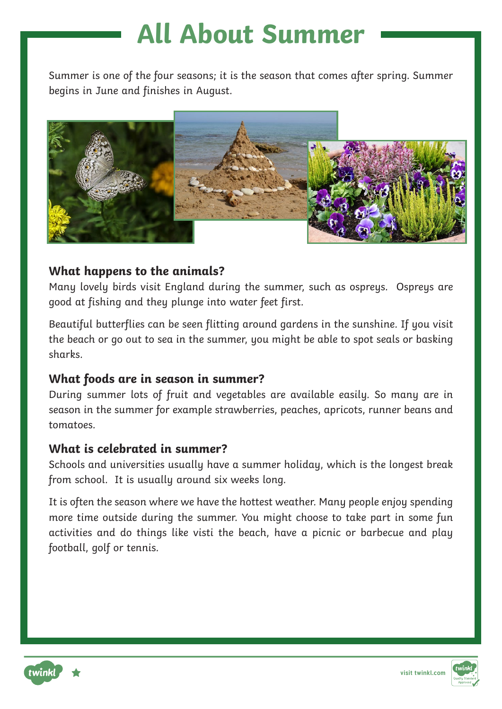Summer is one of the four seasons; it is the season that comes after spring. Summer begins in June and finishes in August.



### **What happens to the animals?**

Many lovely birds visit England during the summer, such as ospreys. Ospreys are good at fishing and they plunge into water feet first.

Beautiful butterflies can be seen flitting around gardens in the sunshine. If you visit the beach or go out to sea in the summer, you might be able to spot seals or basking sharks.

### **What foods are in season in summer?**

During summer lots of fruit and vegetables are available easily. So many are in season in the summer for example strawberries, peaches, apricots, runner beans and tomatoes.

### **What is celebrated in summer?**

Schools and universities usually have a summer holiday, which is the longest break from school. It is usually around six weeks long.

It is often the season where we have the hottest weather. Many people enjoy spending more time outside during the summer. You might choose to take part in some fun activities and do things like visti the beach, have a picnic or barbecue and play football, golf or tennis.



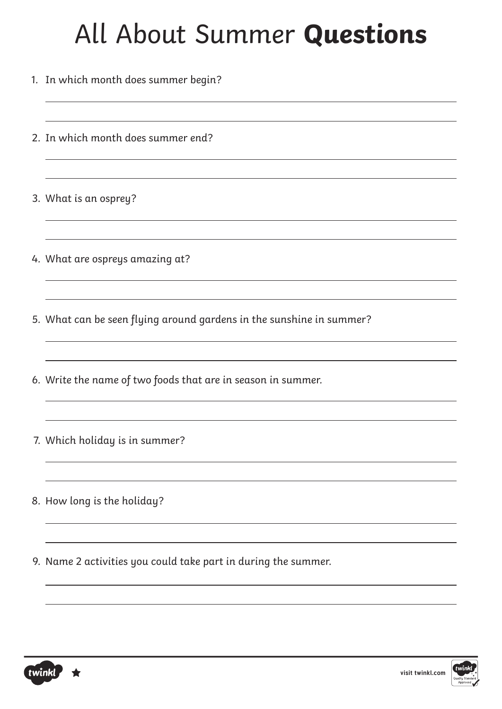- 1. In which month does summer begin?
- 2. In which month does summer end?
- 3. What is an osprey?
- 4. What are ospreys amazing at?
- 5. What can be seen flying around gardens in the sunshine in summer?
- 6. Write the name of two foods that are in season in summer.
- 7. Which holiday is in summer?
- 8. How long is the holiday?
- 9. Name 2 activities you could take part in during the summer.



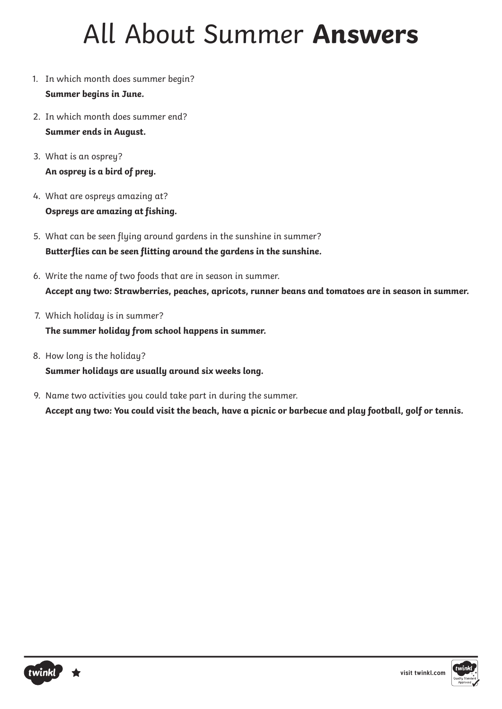# All About Summer **Answers**

- 1. In which month does summer begin? **Summer begins in June.**
- 2. In which month does summer end? **Summer ends in August.**
- 3. What is an osprey? **An osprey is a bird of prey.**
- 4. What are ospreys amazing at? **Ospreys are amazing at fishing.**
- 5. What can be seen flying around gardens in the sunshine in summer? **Butterflies can be seen flitting around the gardens in the sunshine.**
- 6. Write the name of two foods that are in season in summer. **Accept any two: Strawberries, peaches, apricots, runner beans and tomatoes are in season in summer.**
- 7. Which holiday is in summer?

**The summer holiday from school happens in summer.**

- 8. How long is the holiday? **Summer holidays are usually around six weeks long.**
- 9. Name two activities you could take part in during the summer. **Accept any two: You could visit the beach, have a picnic or barbecue and play football, golf or tennis.**

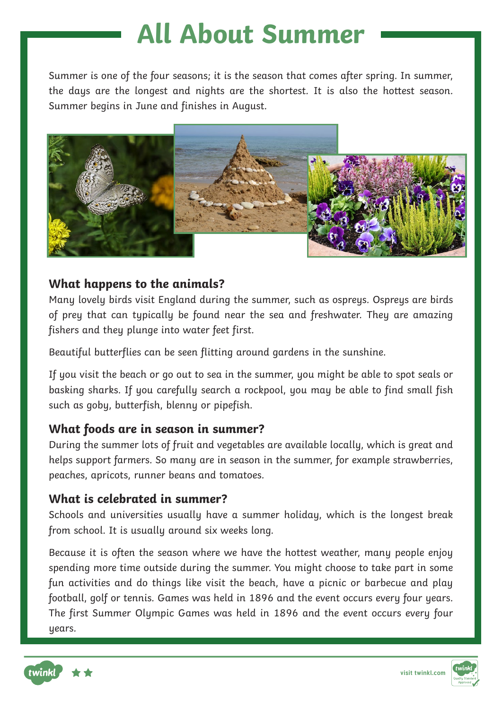Summer is one of the four seasons; it is the season that comes after spring. In summer, the days are the longest and nights are the shortest. It is also the hottest season. Summer begins in June and finishes in August.



### **What happens to the animals?**

Many lovely birds visit England during the summer, such as ospreys. Ospreys are birds of prey that can typically be found near the sea and freshwater. They are amazing fishers and they plunge into water feet first.

Beautiful butterflies can be seen flitting around gardens in the sunshine.

If you visit the beach or go out to sea in the summer, you might be able to spot seals or basking sharks. If you carefully search a rockpool, you may be able to find small fish such as goby, butterfish, blenny or pipefish.

### **What foods are in season in summer?**

During the summer lots of fruit and vegetables are available locally, which is great and helps support farmers. So many are in season in the summer, for example strawberries, peaches, apricots, runner beans and tomatoes.

### **What is celebrated in summer?**

Schools and universities usually have a summer holiday, which is the longest break from school. It is usually around six weeks long.

Because it is often the season where we have the hottest weather, many people enjoy spending more time outside during the summer. You might choose to take part in some fun activities and do things like visit the beach, have a picnic or barbecue and play football, golf or tennis. Games was held in 1896 and the event occurs every four years. The first Summer Olympic Games was held in 1896 and the event occurs every four years.



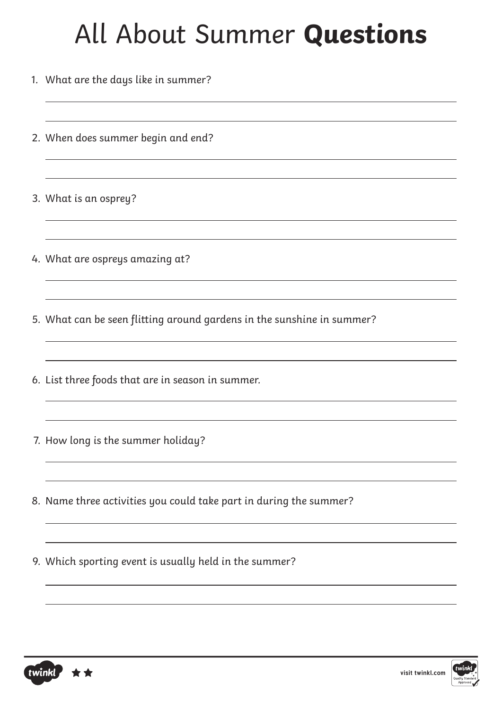- 1. What are the days like in summer?
- 2. When does summer begin and end?
- 3. What is an osprey?
- 4. What are ospreys amazing at?
- 5. What can be seen flitting around gardens in the sunshine in summer?
- 6. List three foods that are in season in summer.
- 7. How long is the summer holiday?
- 8. Name three activities you could take part in during the summer?
- 9. Which sporting event is usually held in the summer?



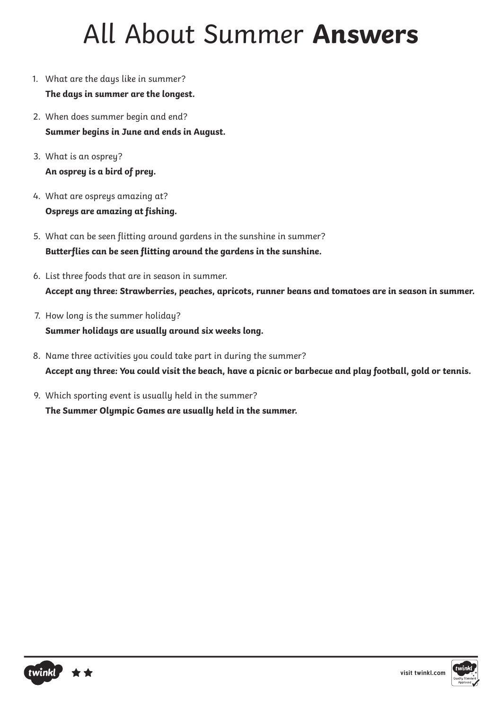## All About Summer **Answers**

- 1. What are the days like in summer? **The days in summer are the longest.**
- 2. When does summer begin and end? **Summer begins in June and ends in August.**
- 3. What is an osprey? **An osprey is a bird of prey.**
- 4. What are ospreys amazing at? **Ospreys are amazing at fishing.**
- 5. What can be seen flitting around gardens in the sunshine in summer? **Butterflies can be seen flitting around the gardens in the sunshine.**
- 6. List three foods that are in season in summer. **Accept any three: Strawberries, peaches, apricots, runner beans and tomatoes are in season in summer.**
- 7. How long is the summer holiday? **Summer holidays are usually around six weeks long.**
- 8. Name three activities you could take part in during the summer? **Accept any three: You could visit the beach, have a picnic or barbecue and play football, gold or tennis.**
- 9. Which sporting event is usually held in the summer? **The Summer Olympic Games are usually held in the summer.**



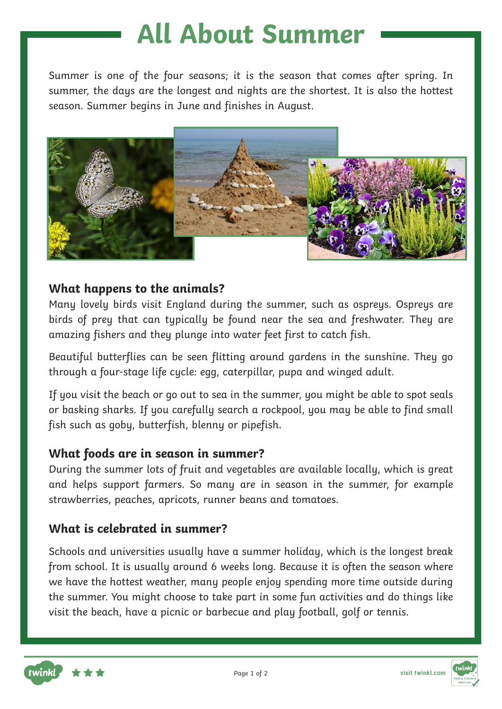Summer is one of the four seasons; it is the season that comes after spring. In summer, the days are the longest and nights are the shortest. It is also the hottest season. Summer begins in June and finishes in August.



### **What happens to the animals?**

Many lovely birds visit England during the summer, such as ospreys. Ospreys are birds of prey that can typically be found near the sea and freshwater. They are amazing fishers and they plunge into water feet first to catch fish.

Beautiful butterflies can be seen flitting around gardens in the sunshine. They go through a four-stage life cycle: egg, caterpillar, pupa and winged adult.

If you visit the beach or go out to sea in the summer, you might be able to spot seals or basking sharks. If you carefully search a rockpool, you may be able to find small fish such as goby, butterfish, blenny or pipefish.

#### **What foods are in season in summer?**

During the summer lots of fruit and vegetables are available locally, which is great and helps support farmers. So many are in season in the summer, for example strawberries, peaches, apricots, runner beans and tomatoes.

### **What is celebrated in summer?**

Schools and universities usually have a summer holiday, which is the longest break from school. It is usually around 6 weeks long. Because it is often the season where we have the hottest weather, many people enjoy spending more time outside during the summer. You might choose to take part in some fun activities and do things like visit the beach, have a picnic or barbecue and play football, golf or tennis.

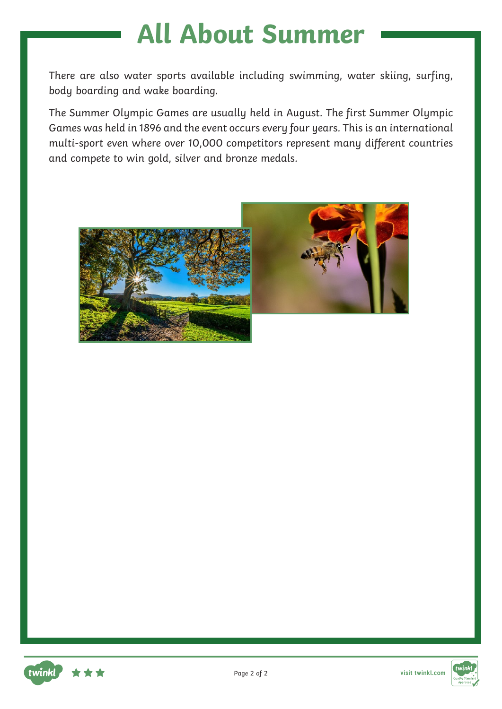There are also water sports available including swimming, water skiing, surfing, body boarding and wake boarding.

The Summer Olympic Games are usually held in August. The first Summer Olympic Games was held in 1896 and the event occurs every four years. This is an international multi-sport even where over 10,000 competitors represent many different countries and compete to win gold, silver and bronze medals.





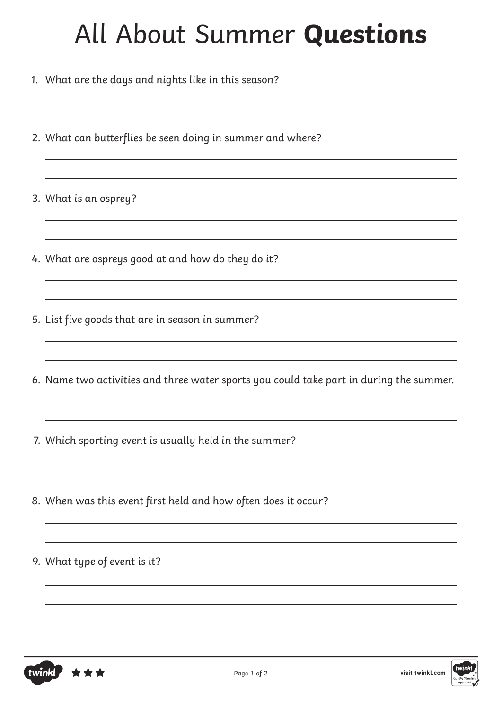- 1. What are the days and nights like in this season?
- 2. What can butterflies be seen doing in summer and where?
- 3. What is an osprey?
- 4. What are ospreys good at and how do they do it?
- 5. List five goods that are in season in summer?
- 6. Name two activities and three water sports you could take part in during the summer.

<u> 1980 - Johann Barbara, martxa a</u>

- 7. Which sporting event is usually held in the summer?
- 8. When was this event first held and how often does it occur?
- 9. What type of event is it?



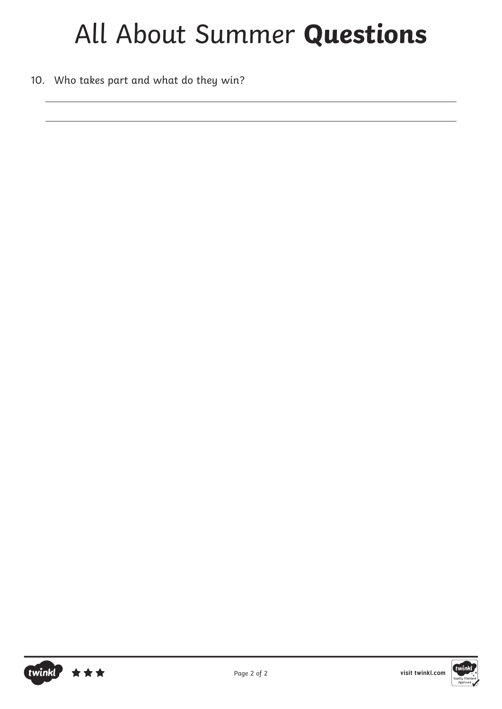10. Who takes part and what do they win?